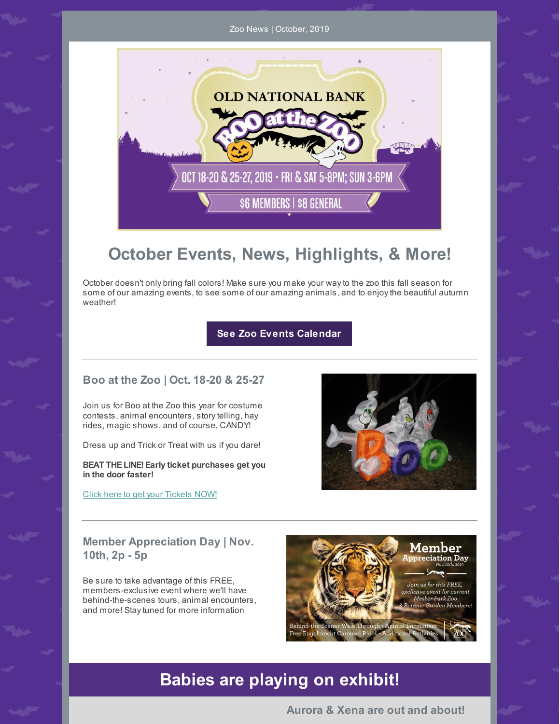Zoo News | October, 2019



# **October Events, News, Highlights, & More!**

October doesn't only bring fall colors! Make sure you make your wayto the zoo this fall season for some of our amazing events, to see some of our amazing animals, and to enjoythe beautiful autumn weather!

**See Zoo Events [Calendar](https://www.meskerparkzoo.com/plan-your-visit/events/)**

#### **Boo at the Zoo | Oct. 18-20 & 25-27**

Join us for Boo at the Zoo this year for costume contests, animal encounters, story telling, hay rides, magic shows, and of course, CANDY!

Dress up and Trick or Treat with us if you dare!

**BEAT THE LINE! Early ticket purchases get you in the door faster!**

Click here to get your [Tickets](https://www.eventbrite.com/e/boo-at-the-zoo-presented-by-old-national-bank-2019-tickets-70196753379) NOW!



#### **Member Appreciation Day | Nov. 10th, 2p - 5p**

Be sure to take advantage of this FREE, members-exclusive event where we'll have behind-the-scenes tours, animal encounters, and more! Staytuned for more information



## **Babies are playing on exhibit!**

**Aurora & Xena are out and about!**